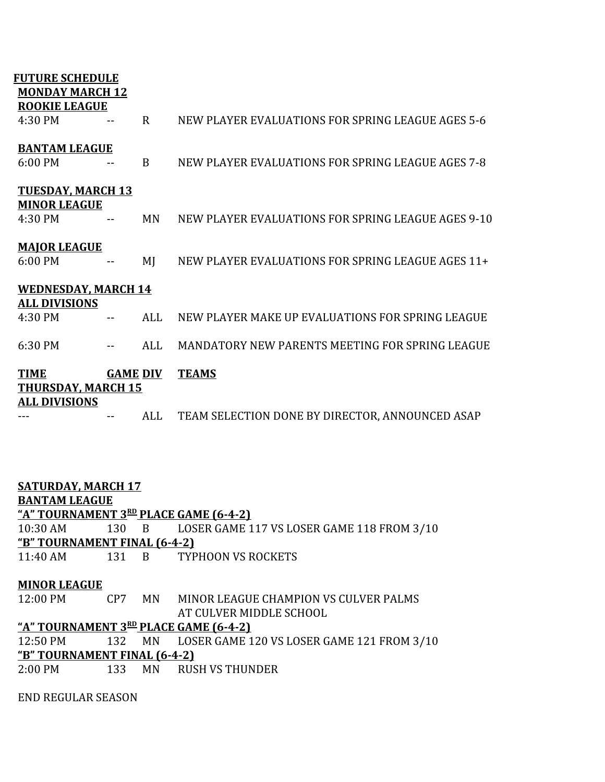| <b>FUTURE SCHEDULE</b>     |                 |             |                                                    |  |  |  |
|----------------------------|-----------------|-------------|----------------------------------------------------|--|--|--|
| <b>MONDAY MARCH 12</b>     |                 |             |                                                    |  |  |  |
| <b>ROOKIE LEAGUE</b>       |                 |             |                                                    |  |  |  |
| 4:30 PM                    |                 | $\mathbf R$ | NEW PLAYER EVALUATIONS FOR SPRING LEAGUE AGES 5-6  |  |  |  |
|                            |                 |             |                                                    |  |  |  |
| <b>BANTAM LEAGUE</b>       |                 |             |                                                    |  |  |  |
| 6:00 PM                    |                 | B           | NEW PLAYER EVALUATIONS FOR SPRING LEAGUE AGES 7-8  |  |  |  |
|                            |                 |             |                                                    |  |  |  |
| <b>TUESDAY, MARCH 13</b>   |                 |             |                                                    |  |  |  |
| <b>MINOR LEAGUE</b>        |                 |             |                                                    |  |  |  |
| 4:30 PM                    |                 | <b>MN</b>   | NEW PLAYER EVALUATIONS FOR SPRING LEAGUE AGES 9-10 |  |  |  |
|                            |                 |             |                                                    |  |  |  |
| <b>MAJOR LEAGUE</b>        |                 |             |                                                    |  |  |  |
| 6:00 PM                    |                 | MJ          | NEW PLAYER EVALUATIONS FOR SPRING LEAGUE AGES 11+  |  |  |  |
|                            |                 |             |                                                    |  |  |  |
| <b>WEDNESDAY, MARCH 14</b> |                 |             |                                                    |  |  |  |
| <b>ALL DIVISIONS</b>       |                 |             |                                                    |  |  |  |
| 4:30 PM                    |                 | <b>ALL</b>  | NEW PLAYER MAKE UP EVALUATIONS FOR SPRING LEAGUE   |  |  |  |
|                            |                 |             |                                                    |  |  |  |
| 6:30 PM                    |                 | ALL         | MANDATORY NEW PARENTS MEETING FOR SPRING LEAGUE    |  |  |  |
|                            |                 |             |                                                    |  |  |  |
| <b>TIME</b>                | <b>GAME DIV</b> |             | <b>TEAMS</b>                                       |  |  |  |
| <b>THURSDAY, MARCH 15</b>  |                 |             |                                                    |  |  |  |
| <b>ALL DIVISIONS</b>       |                 |             |                                                    |  |  |  |
|                            |                 | ALL         | TEAM SELECTION DONE BY DIRECTOR, ANNOUNCED ASAP    |  |  |  |

| <b>SATURDAY, MARCH 17</b>             |  |        |                                                   |  |  |  |  |
|---------------------------------------|--|--------|---------------------------------------------------|--|--|--|--|
| <b>BANTAM LEAGUE</b>                  |  |        |                                                   |  |  |  |  |
| "A" TOURNAMENT 3RD PLACE GAME (6-4-2) |  |        |                                                   |  |  |  |  |
| 10:30 AM                              |  |        | 130 B LOSER GAME 117 VS LOSER GAME 118 FROM 3/10  |  |  |  |  |
| <u>"B" TOURNAMENT FINAL (6-4-2)</u>   |  |        |                                                   |  |  |  |  |
| 11:40 AM                              |  |        | 131 B TYPHOON VS ROCKETS                          |  |  |  |  |
|                                       |  |        |                                                   |  |  |  |  |
| <b>MINOR LEAGUE</b>                   |  |        |                                                   |  |  |  |  |
| 12:00 PM                              |  | CP7 MN | MINOR LEAGUE CHAMPION VS CULVER PALMS             |  |  |  |  |
|                                       |  |        | AT CULVER MIDDLE SCHOOL                           |  |  |  |  |
| "A" TOURNAMENT 3RD PLACE GAME (6-4-2) |  |        |                                                   |  |  |  |  |
| 12:50 PM                              |  |        | 132 MN LOSER GAME 120 VS LOSER GAME 121 FROM 3/10 |  |  |  |  |
| "B" TOURNAMENT FINAL (6-4-2)          |  |        |                                                   |  |  |  |  |
| $2:00$ PM                             |  |        | 133 MN RUSH VS THUNDER                            |  |  |  |  |

END REGULAR SEASON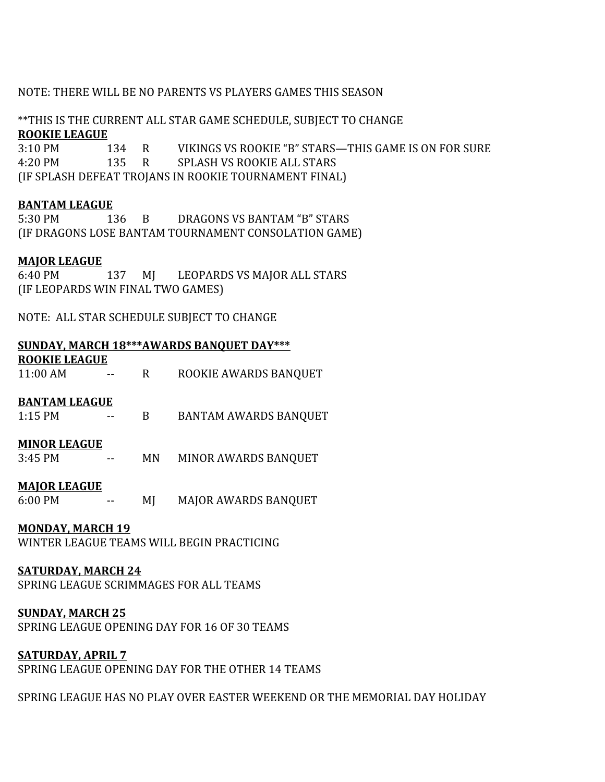# NOTE: THERE WILL BE NO PARENTS VS PLAYERS GAMES THIS SEASON

# \*\*THIS IS THE CURRENT ALL STAR GAME SCHEDULE, SUBJECT TO CHANGE **ROOKIE LEAGUE**

3:10 PM 134 R VIKINGS VS ROOKIE "B" STARS—THIS GAME IS ON FOR SURE 4:20 PM 135 R SPLASH VS ROOKIE ALL STARS (IF SPLASH DEFEAT TROJANS IN ROOKIE TOURNAMENT FINAL)

## **BANTAM LEAGUE**

5:30 PM 136 B DRAGONS VS BANTAM "B" STARS (IF DRAGONS LOSE BANTAM TOURNAMENT CONSOLATION GAME)

## **MAJOR LEAGUE**

6:40 PM 137 MJ LEOPARDS VS MAJOR ALL STARS (IF LEOPARDS WIN FINAL TWO GAMES)

NOTE: ALL STAR SCHEDULE SUBJECT TO CHANGE

## **SUNDAY, MARCH 18\*\*\*AWARDS BANQUET DAY\*\*\***

**ROOKIE LEAGUE** 11:00 AM -- R ROOKIE AWARDS BANQUET

#### **BANTAM LEAGUE**

1:15 PM -- B BANTAM AWARDS BANQUET

#### **MINOR LEAGUE**

3:45 PM -- MN MINOR AWARDS BANQUET

#### **MAJOR LEAGUE**

6:00 PM -- MJ MAJOR AWARDS BANQUET

#### **MONDAY, MARCH 19**

WINTER LEAGUE TEAMS WILL BEGIN PRACTICING

#### **SATURDAY, MARCH 24**

SPRING LEAGUE SCRIMMAGES FOR ALL TEAMS

#### **SUNDAY, MARCH 25**

SPRING LEAGUE OPENING DAY FOR 16 OF 30 TEAMS

## **SATURDAY, APRIL 7**

SPRING LEAGUE OPENING DAY FOR THE OTHER 14 TEAMS

SPRING LEAGUE HAS NO PLAY OVER EASTER WEEKEND OR THE MEMORIAL DAY HOLIDAY